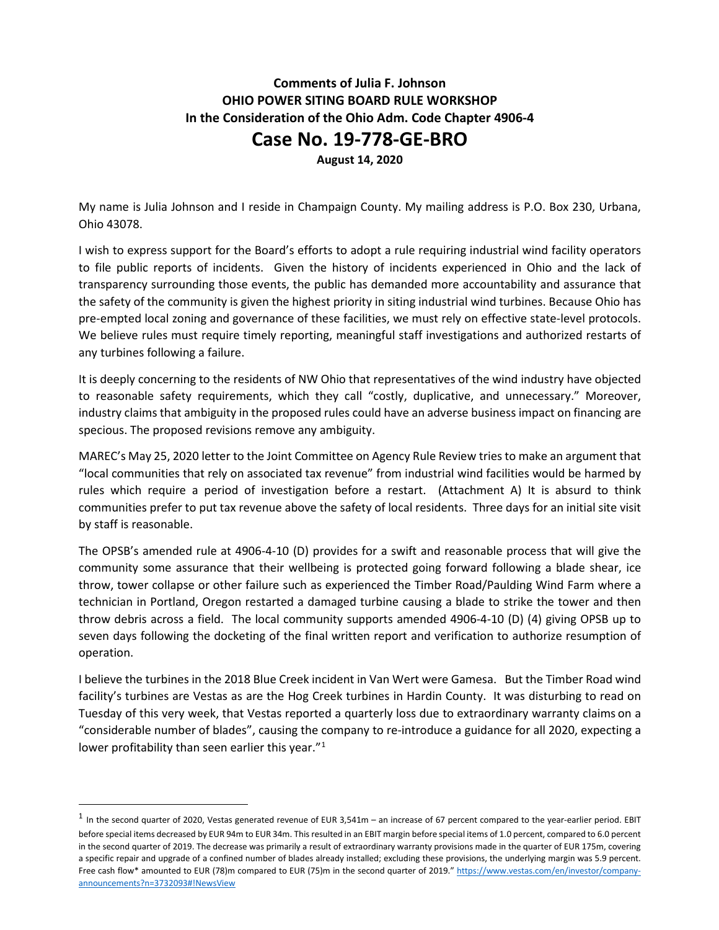## **Comments of Julia F. Johnson OHIO POWER SITING BOARD RULE WORKSHOP In the Consideration of the Ohio Adm. Code Chapter 4906-4**

## **Case No. 19-778-GE-BRO**

**August 14, 2020**

My name is Julia Johnson and I reside in Champaign County. My mailing address is P.O. Box 230, Urbana, Ohio 43078.

I wish to express support for the Board's efforts to adopt a rule requiring industrial wind facility operators to file public reports of incidents. Given the history of incidents experienced in Ohio and the lack of transparency surrounding those events, the public has demanded more accountability and assurance that the safety of the community is given the highest priority in siting industrial wind turbines. Because Ohio has pre-empted local zoning and governance of these facilities, we must rely on effective state-level protocols. We believe rules must require timely reporting, meaningful staff investigations and authorized restarts of any turbines following a failure.

It is deeply concerning to the residents of NW Ohio that representatives of the wind industry have objected to reasonable safety requirements, which they call "costly, duplicative, and unnecessary." Moreover, industry claims that ambiguity in the proposed rules could have an adverse business impact on financing are specious. The proposed revisions remove any ambiguity.

MAREC's May 25, 2020 letter to the Joint Committee on Agency Rule Review tries to make an argument that "local communities that rely on associated tax revenue" from industrial wind facilities would be harmed by rules which require a period of investigation before a restart. (Attachment A) It is absurd to think communities prefer to put tax revenue above the safety of local residents. Three days for an initial site visit by staff is reasonable.

The OPSB's amended rule at 4906-4-10 (D) provides for a swift and reasonable process that will give the community some assurance that their wellbeing is protected going forward following a blade shear, ice throw, tower collapse or other failure such as experienced the Timber Road/Paulding Wind Farm where a technician in Portland, Oregon restarted a damaged turbine causing a blade to strike the tower and then throw debris across a field. The local community supports amended 4906-4-10 (D) (4) giving OPSB up to seven days following the docketing of the final written report and verification to authorize resumption of operation.

I believe the turbines in the 2018 Blue Creek incident in Van Wert were Gamesa. But the Timber Road wind facility's turbines are Vestas as are the Hog Creek turbines in Hardin County. It was disturbing to read on Tuesday of this very week, that Vestas reported a quarterly loss due to extraordinary warranty claims on a "considerable number of blades", causing the company to re-introduce a guidance for all 2020, expecting a lower profitability than seen earlier this year."<sup>[1](#page-0-0)</sup>

<span id="page-0-0"></span> $1$  In the second quarter of 2020, Vestas generated revenue of EUR 3,541m – an increase of 67 percent compared to the year-earlier period. EBIT before special items decreased by EUR 94m to EUR 34m. This resulted in an EBIT margin before special items of 1.0 percent, compared to 6.0 percent in the second quarter of 2019. The decrease was primarily a result of extraordinary warranty provisions made in the quarter of EUR 175m, covering a specific repair and upgrade of a confined number of blades already installed; excluding these provisions, the underlying margin was 5.9 percent. Free cash flow\* amounted to EUR (78)m compared to EUR (75)m in the second quarter of 2019." [https://www.vestas.com/en/investor/company](https://www.vestas.com/en/investor/company-announcements?n=3732093#!NewsView)[announcements?n=3732093#!NewsView](https://www.vestas.com/en/investor/company-announcements?n=3732093#!NewsView)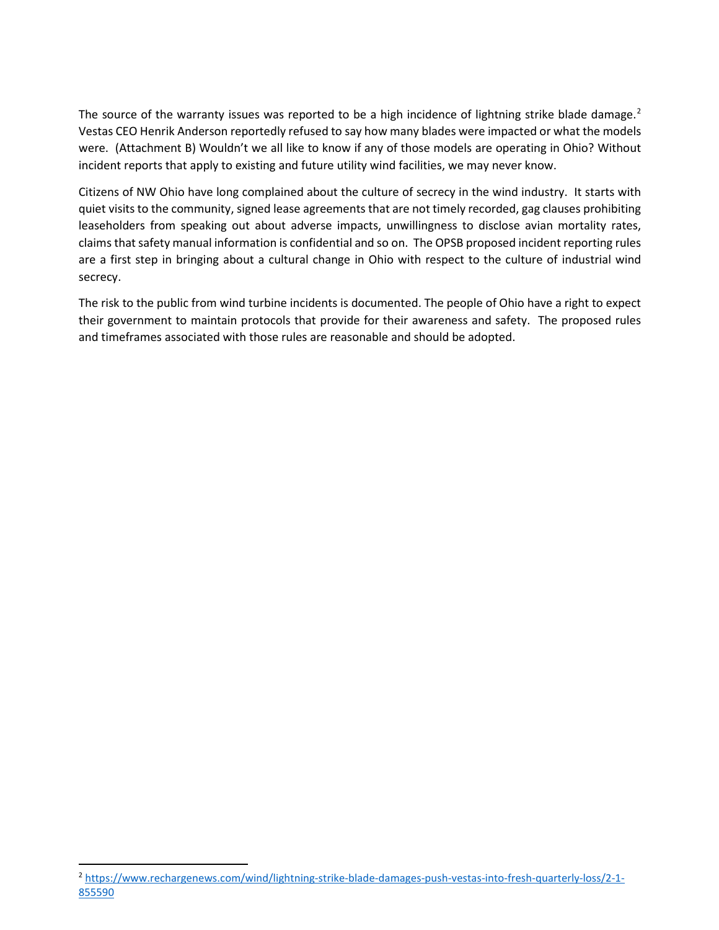The source of the warranty issues was reported to be a high incidence of lightning strike blade damage.<sup>[2](#page-1-0)</sup> Vestas CEO Henrik Anderson reportedly refused to say how many blades were impacted or what the models were. (Attachment B) Wouldn't we all like to know if any of those models are operating in Ohio? Without incident reports that apply to existing and future utility wind facilities, we may never know.

Citizens of NW Ohio have long complained about the culture of secrecy in the wind industry. It starts with quiet visits to the community, signed lease agreements that are not timely recorded, gag clauses prohibiting leaseholders from speaking out about adverse impacts, unwillingness to disclose avian mortality rates, claims that safety manual information is confidential and so on. The OPSB proposed incident reporting rules are a first step in bringing about a cultural change in Ohio with respect to the culture of industrial wind secrecy.

The risk to the public from wind turbine incidents is documented. The people of Ohio have a right to expect their government to maintain protocols that provide for their awareness and safety. The proposed rules and timeframes associated with those rules are reasonable and should be adopted.

<span id="page-1-0"></span><sup>2</sup> [https://www.rechargenews.com/wind/lightning-strike-blade-damages-push-vestas-into-fresh-quarterly-loss/2-1-](https://www.rechargenews.com/wind/lightning-strike-blade-damages-push-vestas-into-fresh-quarterly-loss/2-1-855590) [855590](https://www.rechargenews.com/wind/lightning-strike-blade-damages-push-vestas-into-fresh-quarterly-loss/2-1-855590)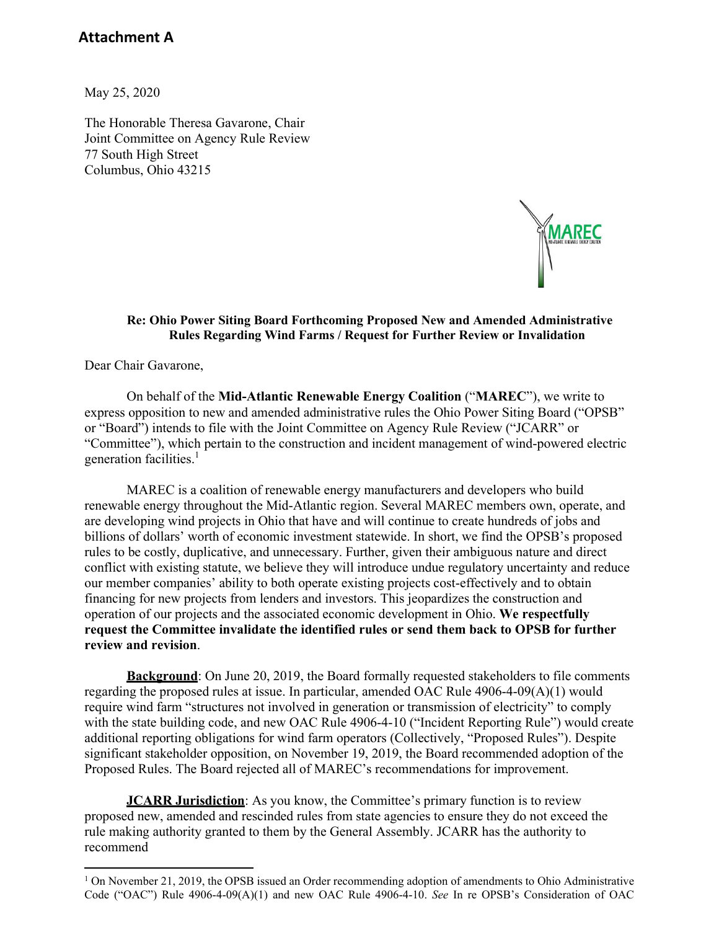## **Attachment A**

May 25, 2020

The Honorable Theresa Gavarone, Chair Joint Committee on Agency Rule Review 77 South High Street Columbus, Ohio 43215



#### **Re: Ohio Power Siting Board Forthcoming Proposed New and Amended Administrative Rules Regarding Wind Farms / Request for Further Review or Invalidation**

Dear Chair Gavarone,

On behalf of the **Mid-Atlantic Renewable Energy Coalition** ("**MAREC**"), we write to express opposition to new and amended administrative rules the Ohio Power Siting Board ("OPSB" or "Board") intends to file with the Joint Committee on Agency Rule Review ("JCARR" or "Committee"), which pertain to the construction and incident management of wind-powered electric generation facilities.<sup>1</sup>

MAREC is a coalition of renewable energy manufacturers and developers who build renewable energy throughout the Mid-Atlantic region. Several MAREC members own, operate, and are developing wind projects in Ohio that have and will continue to create hundreds of jobs and billions of dollars' worth of economic investment statewide. In short, we find the OPSB's proposed rules to be costly, duplicative, and unnecessary. Further, given their ambiguous nature and direct conflict with existing statute, we believe they will introduce undue regulatory uncertainty and reduce our member companies' ability to both operate existing projects cost-effectively and to obtain financing for new projects from lenders and investors. This jeopardizes the construction and operation of our projects and the associated economic development in Ohio. **We respectfully request the Committee invalidate the identified rules or send them back to OPSB for further review and revision**.

**Background**: On June 20, 2019, the Board formally requested stakeholders to file comments regarding the proposed rules at issue. In particular, amended OAC Rule 4906-4-09(A)(1) would require wind farm "structures not involved in generation or transmission of electricity" to comply with the state building code, and new OAC Rule 4906-4-10 ("Incident Reporting Rule") would create additional reporting obligations for wind farm operators (Collectively, "Proposed Rules"). Despite significant stakeholder opposition, on November 19, 2019, the Board recommended adoption of the Proposed Rules. The Board rejected all of MAREC's recommendations for improvement.

**JCARR Jurisdiction**: As you know, the Committee's primary function is to review proposed new, amended and rescinded rules from state agencies to ensure they do not exceed the rule making authority granted to them by the General Assembly. JCARR has the authority to recommend

 $1$  On November 21, 2019, the OPSB issued an Order recommending adoption of amendments to Ohio Administrative Code ("OAC") Rule 4906-4-09(A)(1) and new OAC Rule 4906-4-10. *See* In re OPSB's Consideration of OAC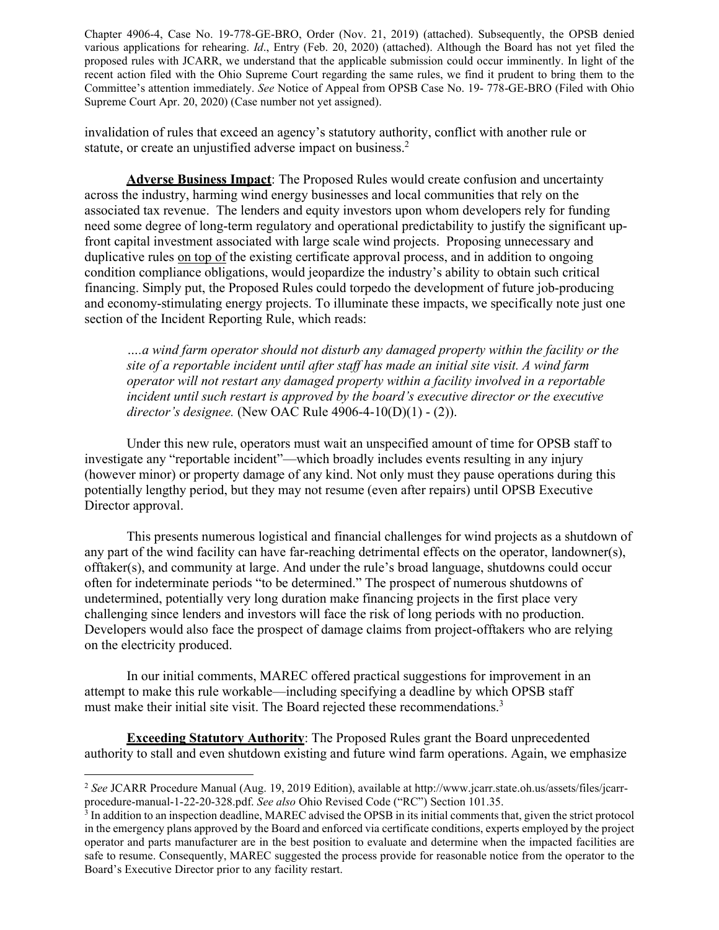Chapter 4906-4, Case No. 19-778-GE-BRO, Order (Nov. 21, 2019) (attached). Subsequently, the OPSB denied various applications for rehearing. *Id*., Entry (Feb. 20, 2020) (attached). Although the Board has not yet filed the proposed rules with JCARR, we understand that the applicable submission could occur imminently. In light of the recent action filed with the Ohio Supreme Court regarding the same rules, we find it prudent to bring them to the Committee's attention immediately. *See* Notice of Appeal from OPSB Case No. 19- 778-GE-BRO (Filed with Ohio Supreme Court Apr. 20, 2020) (Case number not yet assigned).

invalidation of rules that exceed an agency's statutory authority, conflict with another rule or statute, or create an unjustified adverse impact on business.<sup>2</sup>

**Adverse Business Impact**: The Proposed Rules would create confusion and uncertainty across the industry, harming wind energy businesses and local communities that rely on the associated tax revenue. The lenders and equity investors upon whom developers rely for funding need some degree of long-term regulatory and operational predictability to justify the significant upfront capital investment associated with large scale wind projects. Proposing unnecessary and duplicative rules on top of the existing certificate approval process, and in addition to ongoing condition compliance obligations, would jeopardize the industry's ability to obtain such critical financing. Simply put, the Proposed Rules could torpedo the development of future job-producing and economy-stimulating energy projects. To illuminate these impacts, we specifically note just one section of the Incident Reporting Rule, which reads:

*….a wind farm operator should not disturb any damaged property within the facility or the site of a reportable incident until after staff has made an initial site visit. A wind farm operator will not restart any damaged property within a facility involved in a reportable incident until such restart is approved by the board's executive director or the executive director's designee.* (New OAC Rule 4906-4-10(D)(1) - (2)).

Under this new rule, operators must wait an unspecified amount of time for OPSB staff to investigate any "reportable incident"—which broadly includes events resulting in any injury (however minor) or property damage of any kind. Not only must they pause operations during this potentially lengthy period, but they may not resume (even after repairs) until OPSB Executive Director approval.

This presents numerous logistical and financial challenges for wind projects as a shutdown of any part of the wind facility can have far-reaching detrimental effects on the operator, landowner(s), offtaker(s), and community at large. And under the rule's broad language, shutdowns could occur often for indeterminate periods "to be determined." The prospect of numerous shutdowns of undetermined, potentially very long duration make financing projects in the first place very challenging since lenders and investors will face the risk of long periods with no production. Developers would also face the prospect of damage claims from project-offtakers who are relying on the electricity produced.

In our initial comments, MAREC offered practical suggestions for improvement in an attempt to make this rule workable—including specifying a deadline by which OPSB staff must make their initial site visit. The Board rejected these recommendations.<sup>3</sup>

**Exceeding Statutory Authority**: The Proposed Rules grant the Board unprecedented authority to stall and even shutdown existing and future wind farm operations. Again, we emphasize

<sup>2</sup> *See* JCARR Procedure Manual (Aug. 19, 2019 Edition), available at [http://www.jcarr.state.oh.us/assets/files/jcarr](http://www.jcarr.state.oh.us/assets/files/jcarr-)procedure-manual-1-22-20-328.pdf. *See also* Ohio Revised Code ("RC") Section 101.35.

<sup>3</sup> In addition to an inspection deadline, MAREC advised the OPSB in its initial comments that, given the strict protocol in the emergency plans approved by the Board and enforced via certificate conditions, experts employed by the project operator and parts manufacturer are in the best position to evaluate and determine when the impacted facilities are safe to resume. Consequently, MAREC suggested the process provide for reasonable notice from the operator to the Board's Executive Director prior to any facility restart.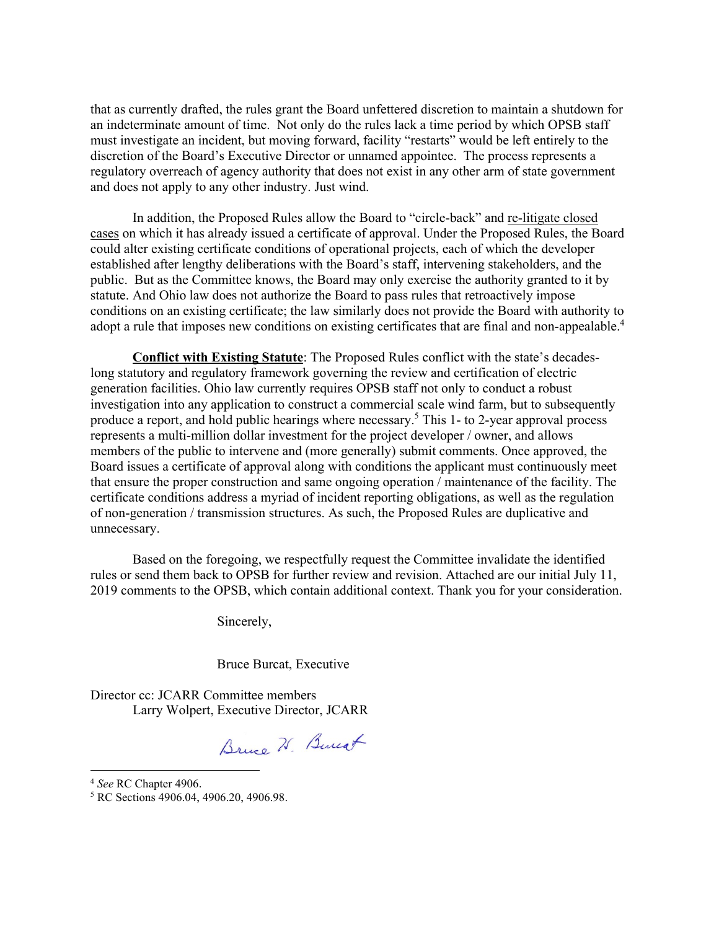that as currently drafted, the rules grant the Board unfettered discretion to maintain a shutdown for an indeterminate amount of time. Not only do the rules lack a time period by which OPSB staff must investigate an incident, but moving forward, facility "restarts" would be left entirely to the discretion of the Board's Executive Director or unnamed appointee. The process represents a regulatory overreach of agency authority that does not exist in any other arm of state government and does not apply to any other industry. Just wind.

In addition, the Proposed Rules allow the Board to "circle-back" and re-litigate closed cases on which it has already issued a certificate of approval. Under the Proposed Rules, the Board could alter existing certificate conditions of operational projects, each of which the developer established after lengthy deliberations with the Board's staff, intervening stakeholders, and the public. But as the Committee knows, the Board may only exercise the authority granted to it by statute. And Ohio law does not authorize the Board to pass rules that retroactively impose conditions on an existing certificate; the law similarly does not provide the Board with authority to adopt a rule that imposes new conditions on existing certificates that are final and non-appealable.<sup>4</sup>

**Conflict with Existing Statute**: The Proposed Rules conflict with the state's decadeslong statutory and regulatory framework governing the review and certification of electric generation facilities. Ohio law currently requires OPSB staff not only to conduct a robust investigation into any application to construct a commercial scale wind farm, but to subsequently produce a report, and hold public hearings where necessary.<sup>5</sup> This 1- to 2-year approval process represents a multi-million dollar investment for the project developer / owner, and allows members of the public to intervene and (more generally) submit comments. Once approved, the Board issues a certificate of approval along with conditions the applicant must continuously meet that ensure the proper construction and same ongoing operation / maintenance of the facility. The certificate conditions address a myriad of incident reporting obligations, as well as the regulation of non-generation / transmission structures. As such, the Proposed Rules are duplicative and unnecessary.

Based on the foregoing, we respectfully request the Committee invalidate the identified rules or send them back to OPSB for further review and revision. Attached are our initial July 11, 2019 comments to the OPSB, which contain additional context. Thank you for your consideration.

Sincerely,

Bruce Burcat, Executive

Director cc: JCARR Committee members Larry Wolpert, Executive Director, JCARR

Bruce H. Bureat

<sup>4</sup> *See* RC Chapter 4906.

<sup>5</sup> RC Sections 4906.04, 4906.20, 4906.98.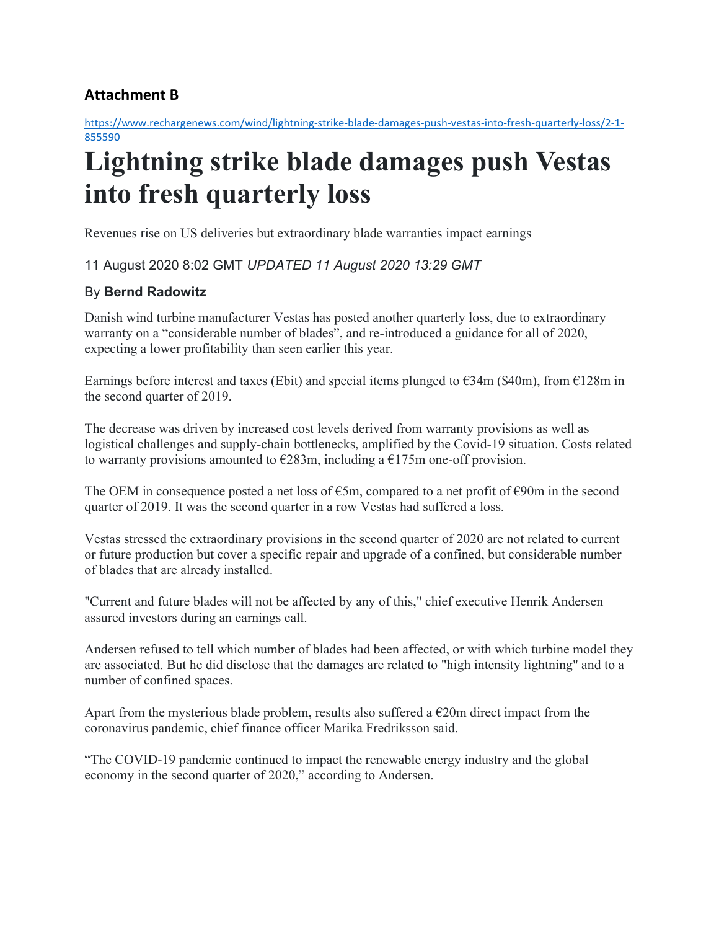# **Attachment B**

[https://www.rechargenews.com/wind/lightning-strike-blade-damages-push-vestas-into-fresh-quarterly-loss/2-1-](https://www.rechargenews.com/wind/lightning-strike-blade-damages-push-vestas-into-fresh-quarterly-loss/2-1-855590) [855590](https://www.rechargenews.com/wind/lightning-strike-blade-damages-push-vestas-into-fresh-quarterly-loss/2-1-855590)

# **Lightning strike blade damages push Vestas into fresh quarterly loss**

Revenues rise on US deliveries but extraordinary blade warranties impact earnings

11 August 2020 8:02 GMT *UPDATED 11 August 2020 13:29 GMT*

### By **Bernd Radowitz**

Danish wind turbine manufacturer Vestas has posted another quarterly loss, due to extraordinary warranty on a "considerable number of blades", and re-introduced a guidance for all of 2020, expecting a lower profitability than seen earlier this year.

Earnings before interest and taxes (Ebit) and special items plunged to  $\epsilon$ 34m (\$40m), from  $\epsilon$ 128m in the second quarter of 2019.

The decrease was driven by increased cost levels derived from warranty provisions as well as logistical challenges and supply-chain bottlenecks, amplified by the Covid-19 situation. Costs related to warranty provisions amounted to  $\epsilon$ 283m, including a  $\epsilon$ 175m one-off provision.

The OEM in consequence posted a net loss of  $\epsilon$ 5m, compared to a net profit of  $\epsilon$ 90m in the second quarter of 2019. It was the second quarter in a row Vestas had suffered a loss.

Vestas stressed the extraordinary provisions in the second quarter of 2020 are not related to current or future production but cover a specific repair and upgrade of a confined, but considerable number of blades that are already installed.

"Current and future blades will not be affected by any of this," chief executive Henrik Andersen assured investors during an earnings call.

Andersen refused to tell which number of blades had been affected, or with which turbine model they are associated. But he did disclose that the damages are related to "high intensity lightning" and to a number of confined spaces.

Apart from the mysterious blade problem, results also suffered a  $E20m$  direct impact from the coronavirus pandemic, chief finance officer Marika Fredriksson said.

"The COVID-19 pandemic continued to impact the renewable energy industry and the global economy in the second quarter of 2020," according to Andersen.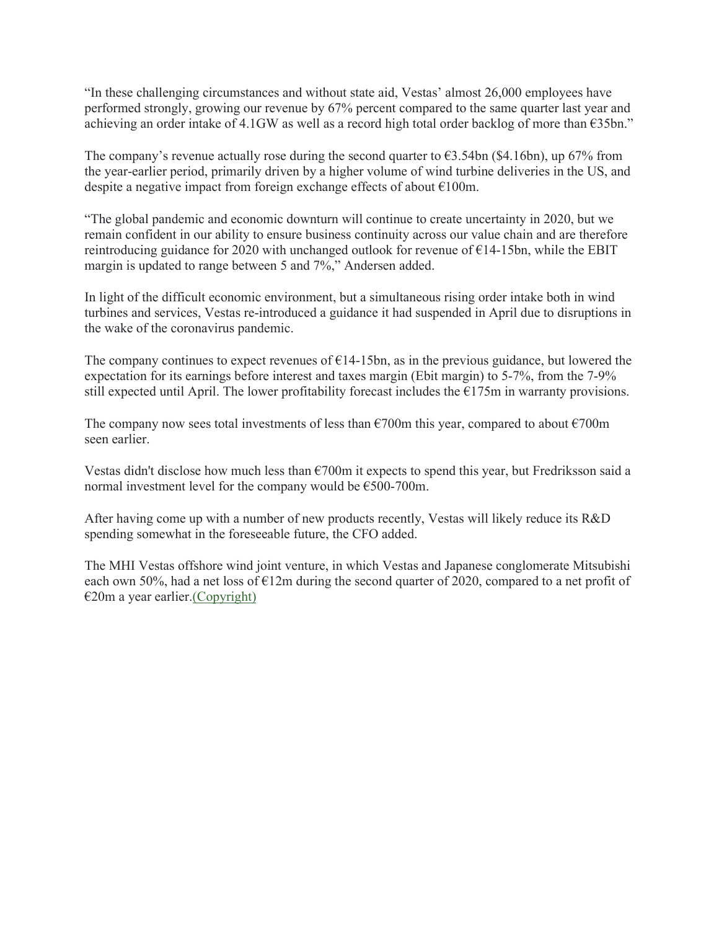"In these challenging circumstances and without state aid, Vestas' almost 26,000 employees have performed strongly, growing our revenue by 67% percent compared to the same quarter last year and achieving an order intake of 4.1GW as well as a record high total order backlog of more than €35bn."

The company's revenue actually rose during the second quarter to  $\epsilon$ 3.54bn (\$4.16bn), up 67% from the year-earlier period, primarily driven by a higher volume of wind turbine deliveries in the US, and despite a negative impact from foreign exchange effects of about  $\epsilon$ 100m.

"The global pandemic and economic downturn will continue to create uncertainty in 2020, but we remain confident in our ability to ensure business continuity across our value chain and are therefore reintroducing guidance for 2020 with unchanged outlook for revenue of  $E14-15$ bn, while the EBIT margin is updated to range between 5 and 7%," Andersen added.

In light of the difficult economic environment, but a simultaneous rising order intake both in wind turbines and services, Vestas re-introduced a guidance it had suspended in April due to disruptions in the wake of the coronavirus pandemic.

The company continues to expect revenues of  $E14-15$ bn, as in the previous guidance, but lowered the expectation for its earnings before interest and taxes margin (Ebit margin) to 5-7%, from the 7-9% still expected until April. The lower profitability forecast includes the  $E175m$  in warranty provisions.

The company now sees total investments of less than  $\epsilon$ 700m this year, compared to about  $\epsilon$ 700m seen earlier.

Vestas didn't disclose how much less than €700m it expects to spend this year, but Fredriksson said a normal investment level for the company would be €500-700m.

After having come up with a number of new products recently, Vestas will likely reduce its R&D spending somewhat in the foreseeable future, the CFO added.

The MHI Vestas offshore wind joint venture, in which Vestas and Japanese conglomerate Mitsubishi each own 50%, had a net loss of  $E12m$  during the second quarter of 2020, compared to a net profit of  $€20m$  a year earlier[.\(Copyright\)](https://www.rechargenews.com/terms?tab=digital)